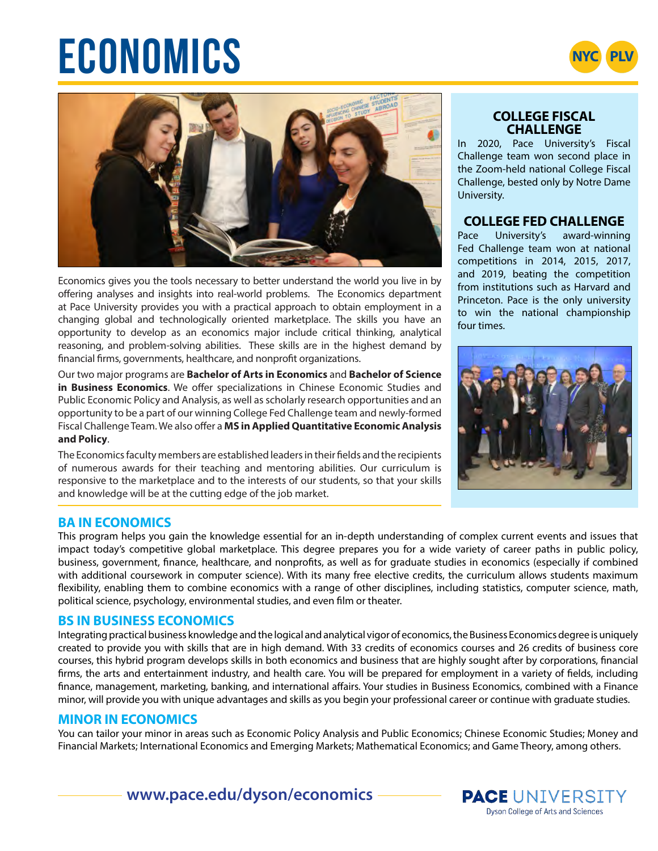# $E$ **CONOMICS**





Economics gives you the tools necessary to better understand the world you live in by offering analyses and insights into real-world problems. The Economics department at Pace University provides you with a practical approach to obtain employment in a changing global and technologically oriented marketplace. The skills you have an opportunity to develop as an economics major include critical thinking, analytical reasoning, and problem-solving abilities. These skills are in the highest demand by financial firms, governments, healthcare, and nonprofit organizations.

Our two major programs are **Bachelor of Arts in Economics** and **Bachelor of Science in Business Economics**. We offer specializations in Chinese Economic Studies and Public Economic Policy and Analysis, as well as scholarly research opportunities and an opportunity to be a part of our winning College Fed Challenge team and newly-formed Fiscal Challenge Team. We also offer a **MS in Applied Quantitative Economic Analysis and Policy**.

The Economics faculty members are established leaders in their fields and the recipients of numerous awards for their teaching and mentoring abilities. Our curriculum is responsive to the marketplace and to the interests of our students, so that your skills and knowledge will be at the cutting edge of the job market.

#### **COLLEGE FISCAL CHALLENGE**

In 2020, Pace University's Fiscal Challenge team won second place in the Zoom-held national College Fiscal Challenge, bested only by Notre Dame University.

# **COLLEGE FED CHALLENGE**

Pace University's award-winning Fed Challenge team won at national competitions in 2014, 2015, 2017, and 2019, beating the competition from institutions such as Harvard and Princeton. Pace is the only university to win the national championship four times.



# **BA IN ECONOMICS**

This program helps you gain the knowledge essential for an in-depth understanding of complex current events and issues that impact today's competitive global marketplace. This degree prepares you for a wide variety of career paths in public policy, business, government, finance, healthcare, and nonprofits, as well as for graduate studies in economics (especially if combined with additional coursework in computer science). With its many free elective credits, the curriculum allows students maximum flexibility, enabling them to combine economics with a range of other disciplines, including statistics, computer science, math, political science, psychology, environmental studies, and even film or theater.

#### **BS IN BUSINESS ECONOMICS**

Integrating practical business knowledge and the logical and analytical vigor of economics, the Business Economics degree is uniquely created to provide you with skills that are in high demand. With 33 credits of economics courses and 26 credits of business core courses, this hybrid program develops skills in both economics and business that are highly sought after by corporations, financial firms, the arts and entertainment industry, and health care. You will be prepared for employment in a variety of fields, including finance, management, marketing, banking, and international affairs. Your studies in Business Economics, combined with a Finance minor, will provide you with unique advantages and skills as you begin your professional career or continue with graduate studies.

#### **MINOR IN ECONOMICS**

You can tailor your minor in areas such as Economic Policy Analysis and Public Economics; Chinese Economic Studies; Money and Financial Markets; International Economics and Emerging Markets; Mathematical Economics; and Game Theory, among others.

**www.pace.edu/dyson/economics**